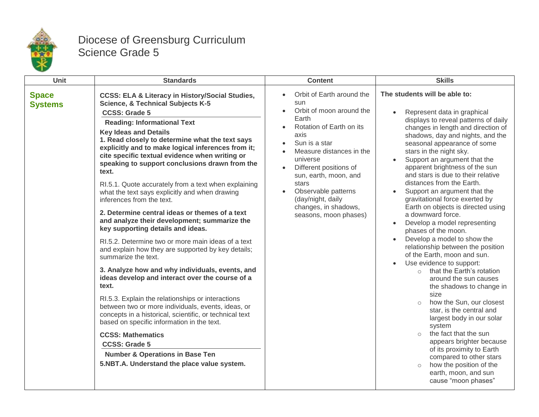

## Diocese of Greensburg Curriculum Science Grade 5

| <b>Unit</b>                    | <b>Standards</b>                                                                                                                                                                                                                                                                                                                                                                                                                                                                                                                                                                                                                                                                                                                                                                                                                                                                                                                                                                                                                                                                                                                                                                                                                                                                                                                    | <b>Content</b>                                                                                                                                                                                                                                                                                                              | <b>Skills</b>                                                                                                                                                                                                                                                                                                                                                                                                                                                                                                                                                                                                                                                                                                                                                                                                                                                                                                                                                                                                                                                                                                                                          |
|--------------------------------|-------------------------------------------------------------------------------------------------------------------------------------------------------------------------------------------------------------------------------------------------------------------------------------------------------------------------------------------------------------------------------------------------------------------------------------------------------------------------------------------------------------------------------------------------------------------------------------------------------------------------------------------------------------------------------------------------------------------------------------------------------------------------------------------------------------------------------------------------------------------------------------------------------------------------------------------------------------------------------------------------------------------------------------------------------------------------------------------------------------------------------------------------------------------------------------------------------------------------------------------------------------------------------------------------------------------------------------|-----------------------------------------------------------------------------------------------------------------------------------------------------------------------------------------------------------------------------------------------------------------------------------------------------------------------------|--------------------------------------------------------------------------------------------------------------------------------------------------------------------------------------------------------------------------------------------------------------------------------------------------------------------------------------------------------------------------------------------------------------------------------------------------------------------------------------------------------------------------------------------------------------------------------------------------------------------------------------------------------------------------------------------------------------------------------------------------------------------------------------------------------------------------------------------------------------------------------------------------------------------------------------------------------------------------------------------------------------------------------------------------------------------------------------------------------------------------------------------------------|
| <b>Space</b><br><b>Systems</b> | <b>CCSS: ELA &amp; Literacy in History/Social Studies,</b><br><b>Science, &amp; Technical Subjects K-5</b><br><b>CCSS: Grade 5</b><br><b>Reading: Informational Text</b><br><b>Key Ideas and Details</b><br>1. Read closely to determine what the text says<br>explicitly and to make logical inferences from it;<br>cite specific textual evidence when writing or<br>speaking to support conclusions drawn from the<br>text.<br>RI.5.1. Quote accurately from a text when explaining<br>what the text says explicitly and when drawing<br>inferences from the text.<br>2. Determine central ideas or themes of a text<br>and analyze their development; summarize the<br>key supporting details and ideas.<br>RI.5.2. Determine two or more main ideas of a text<br>and explain how they are supported by key details;<br>summarize the text.<br>3. Analyze how and why individuals, events, and<br>ideas develop and interact over the course of a<br>text.<br>RI.5.3. Explain the relationships or interactions<br>between two or more individuals, events, ideas, or<br>concepts in a historical, scientific, or technical text<br>based on specific information in the text.<br><b>CCSS: Mathematics</b><br><b>CCSS: Grade 5</b><br><b>Number &amp; Operations in Base Ten</b><br>5.NBT.A. Understand the place value system. | Orbit of Earth around the<br>sun<br>Orbit of moon around the<br>Earth<br>Rotation of Earth on its<br>axis<br>Sun is a star<br>Measure distances in the<br>universe<br>Different positions of<br>sun, earth, moon, and<br>stars<br>Observable patterns<br>(day/night, daily<br>changes, in shadows,<br>seasons, moon phases) | The students will be able to:<br>Represent data in graphical<br>displays to reveal patterns of daily<br>changes in length and direction of<br>shadows, day and nights, and the<br>seasonal appearance of some<br>stars in the night sky.<br>Support an argument that the<br>$\bullet$<br>apparent brightness of the sun<br>and stars is due to their relative<br>distances from the Earth.<br>Support an argument that the<br>gravitational force exerted by<br>Earth on objects is directed using<br>a downward force.<br>Develop a model representing<br>phases of the moon.<br>Develop a model to show the<br>relationship between the position<br>of the Earth, moon and sun.<br>Use evidence to support:<br>$\bullet$<br>that the Earth's rotation<br>$\circ$<br>around the sun causes<br>the shadows to change in<br>size<br>how the Sun, our closest<br>$\circ$<br>star, is the central and<br>largest body in our solar<br>system<br>the fact that the sun<br>$\circ$<br>appears brighter because<br>of its proximity to Earth<br>compared to other stars<br>how the position of the<br>$\circ$<br>earth, moon, and sun<br>cause "moon phases" |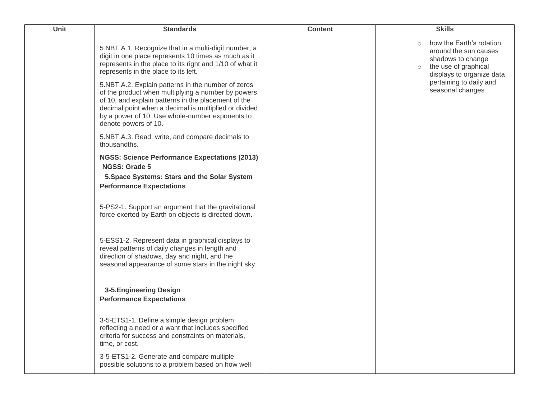| <b>Unit</b> | <b>Standards</b>                                                                                                                                                                                                                                                                                    | <b>Content</b> | <b>Skills</b>                                                                                                                 |
|-------------|-----------------------------------------------------------------------------------------------------------------------------------------------------------------------------------------------------------------------------------------------------------------------------------------------------|----------------|-------------------------------------------------------------------------------------------------------------------------------|
|             | 5.NBT.A.1. Recognize that in a multi-digit number, a<br>digit in one place represents 10 times as much as it<br>represents in the place to its right and 1/10 of what it<br>represents in the place to its left.                                                                                    |                | how the Earth's rotation<br>around the sun causes<br>shadows to change<br>o the use of graphical<br>displays to organize data |
|             | 5.NBT.A.2. Explain patterns in the number of zeros<br>of the product when multiplying a number by powers<br>of 10, and explain patterns in the placement of the<br>decimal point when a decimal is multiplied or divided<br>by a power of 10. Use whole-number exponents to<br>denote powers of 10. |                | pertaining to daily and<br>seasonal changes                                                                                   |
|             | 5.NBT.A.3. Read, write, and compare decimals to<br>thousandths.                                                                                                                                                                                                                                     |                |                                                                                                                               |
|             | <b>NGSS: Science Performance Expectations (2013)</b><br><b>NGSS: Grade 5</b>                                                                                                                                                                                                                        |                |                                                                                                                               |
|             | 5. Space Systems: Stars and the Solar System                                                                                                                                                                                                                                                        |                |                                                                                                                               |
|             | <b>Performance Expectations</b>                                                                                                                                                                                                                                                                     |                |                                                                                                                               |
|             | 5-PS2-1. Support an argument that the gravitational<br>force exerted by Earth on objects is directed down.                                                                                                                                                                                          |                |                                                                                                                               |
|             | 5-ESS1-2. Represent data in graphical displays to<br>reveal patterns of daily changes in length and<br>direction of shadows, day and night, and the<br>seasonal appearance of some stars in the night sky.                                                                                          |                |                                                                                                                               |
|             | 3-5. Engineering Design<br><b>Performance Expectations</b>                                                                                                                                                                                                                                          |                |                                                                                                                               |
|             | 3-5-ETS1-1. Define a simple design problem<br>reflecting a need or a want that includes specified<br>criteria for success and constraints on materials,<br>time, or cost.                                                                                                                           |                |                                                                                                                               |
|             | 3-5-ETS1-2. Generate and compare multiple<br>possible solutions to a problem based on how well                                                                                                                                                                                                      |                |                                                                                                                               |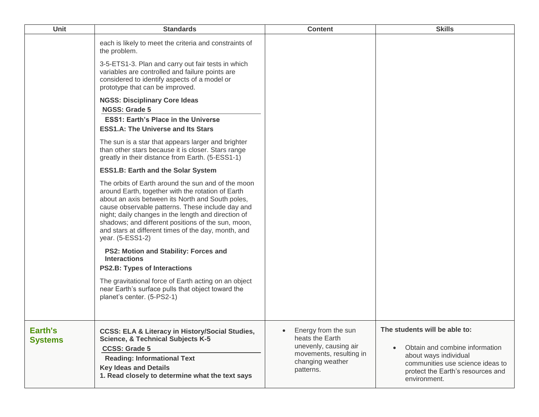| <b>Unit</b>               | <b>Standards</b>                                                                                                                                                                                                                                                                                                                                                                                        | <b>Content</b>                                                                                                              | <b>Skills</b>                                                                                                                                                                                  |
|---------------------------|---------------------------------------------------------------------------------------------------------------------------------------------------------------------------------------------------------------------------------------------------------------------------------------------------------------------------------------------------------------------------------------------------------|-----------------------------------------------------------------------------------------------------------------------------|------------------------------------------------------------------------------------------------------------------------------------------------------------------------------------------------|
|                           | each is likely to meet the criteria and constraints of<br>the problem.<br>3-5-ETS1-3. Plan and carry out fair tests in which<br>variables are controlled and failure points are<br>considered to identify aspects of a model or<br>prototype that can be improved.                                                                                                                                      |                                                                                                                             |                                                                                                                                                                                                |
|                           | <b>NGSS: Disciplinary Core Ideas</b><br><b>NGSS: Grade 5</b><br><b>ESS1: Earth's Place in the Universe</b>                                                                                                                                                                                                                                                                                              |                                                                                                                             |                                                                                                                                                                                                |
|                           | <b>ESS1.A: The Universe and Its Stars</b>                                                                                                                                                                                                                                                                                                                                                               |                                                                                                                             |                                                                                                                                                                                                |
|                           | The sun is a star that appears larger and brighter<br>than other stars because it is closer. Stars range<br>greatly in their distance from Earth. (5-ESS1-1)                                                                                                                                                                                                                                            |                                                                                                                             |                                                                                                                                                                                                |
|                           | <b>ESS1.B: Earth and the Solar System</b>                                                                                                                                                                                                                                                                                                                                                               |                                                                                                                             |                                                                                                                                                                                                |
|                           | The orbits of Earth around the sun and of the moon<br>around Earth, together with the rotation of Earth<br>about an axis between its North and South poles,<br>cause observable patterns. These include day and<br>night; daily changes in the length and direction of<br>shadows; and different positions of the sun, moon,<br>and stars at different times of the day, month, and<br>year. (5-ESS1-2) |                                                                                                                             |                                                                                                                                                                                                |
|                           | PS2: Motion and Stability: Forces and<br><b>Interactions</b><br><b>PS2.B: Types of Interactions</b>                                                                                                                                                                                                                                                                                                     |                                                                                                                             |                                                                                                                                                                                                |
|                           | The gravitational force of Earth acting on an object<br>near Earth's surface pulls that object toward the<br>planet's center. (5-PS2-1)                                                                                                                                                                                                                                                                 |                                                                                                                             |                                                                                                                                                                                                |
| Earth's<br><b>Systems</b> | CCSS: ELA & Literacy in History/Social Studies,<br><b>Science, &amp; Technical Subjects K-5</b><br><b>CCSS: Grade 5</b><br><b>Reading: Informational Text</b><br><b>Key Ideas and Details</b><br>1. Read closely to determine what the text says                                                                                                                                                        | Energy from the sun<br>heats the Earth<br>unevenly, causing air<br>movements, resulting in<br>changing weather<br>patterns. | The students will be able to:<br>Obtain and combine information<br>$\bullet$<br>about ways individual<br>communities use science ideas to<br>protect the Earth's resources and<br>environment. |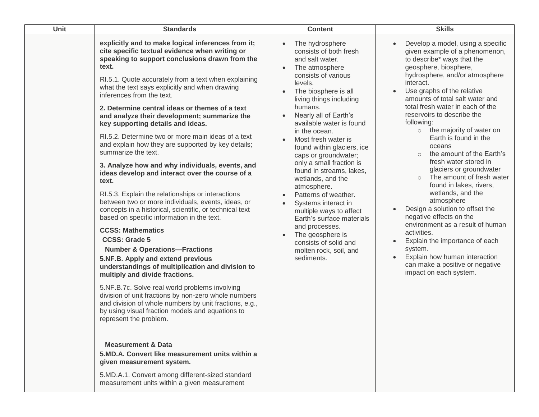| Unit | <b>Standards</b>                                                                                                                                                                                                                                                                                                                                                                                                                                                                                                                                                                                                                                                                                                                                                                                                                                                                                                                                                                                                                                                                                                                                                                                                                                                                                                                                                                                                                                                                                                                                                      | <b>Content</b>                                                                                                                                                                                                                                                                                                                                                                                                                                                                                                                                                                                                                                                                                               | <b>Skills</b>                                                                                                                                                                                                                                                                                                                                                                                                                                                                                                                                                                                                                                                                                                                                                                                                                                                                                          |
|------|-----------------------------------------------------------------------------------------------------------------------------------------------------------------------------------------------------------------------------------------------------------------------------------------------------------------------------------------------------------------------------------------------------------------------------------------------------------------------------------------------------------------------------------------------------------------------------------------------------------------------------------------------------------------------------------------------------------------------------------------------------------------------------------------------------------------------------------------------------------------------------------------------------------------------------------------------------------------------------------------------------------------------------------------------------------------------------------------------------------------------------------------------------------------------------------------------------------------------------------------------------------------------------------------------------------------------------------------------------------------------------------------------------------------------------------------------------------------------------------------------------------------------------------------------------------------------|--------------------------------------------------------------------------------------------------------------------------------------------------------------------------------------------------------------------------------------------------------------------------------------------------------------------------------------------------------------------------------------------------------------------------------------------------------------------------------------------------------------------------------------------------------------------------------------------------------------------------------------------------------------------------------------------------------------|--------------------------------------------------------------------------------------------------------------------------------------------------------------------------------------------------------------------------------------------------------------------------------------------------------------------------------------------------------------------------------------------------------------------------------------------------------------------------------------------------------------------------------------------------------------------------------------------------------------------------------------------------------------------------------------------------------------------------------------------------------------------------------------------------------------------------------------------------------------------------------------------------------|
|      | explicitly and to make logical inferences from it;<br>cite specific textual evidence when writing or<br>speaking to support conclusions drawn from the<br>text.<br>RI.5.1. Quote accurately from a text when explaining<br>what the text says explicitly and when drawing<br>inferences from the text.<br>2. Determine central ideas or themes of a text<br>and analyze their development; summarize the<br>key supporting details and ideas.<br>RI.5.2. Determine two or more main ideas of a text<br>and explain how they are supported by key details;<br>summarize the text.<br>3. Analyze how and why individuals, events, and<br>ideas develop and interact over the course of a<br>text.<br>RI.5.3. Explain the relationships or interactions<br>between two or more individuals, events, ideas, or<br>concepts in a historical, scientific, or technical text<br>based on specific information in the text.<br><b>CCSS: Mathematics</b><br><b>CCSS: Grade 5</b><br><b>Number &amp; Operations-Fractions</b><br>5.NF.B. Apply and extend previous<br>understandings of multiplication and division to<br>multiply and divide fractions.<br>5.NF.B.7c. Solve real world problems involving<br>division of unit fractions by non-zero whole numbers<br>and division of whole numbers by unit fractions, e.g.,<br>by using visual fraction models and equations to<br>represent the problem.<br><b>Measurement &amp; Data</b><br>5.MD.A. Convert like measurement units within a<br>given measurement system.<br>5.MD.A.1. Convert among different-sized standard | The hydrosphere<br>$\bullet$<br>consists of both fresh<br>and salt water.<br>The atmosphere<br>$\bullet$<br>consists of various<br>levels.<br>The biosphere is all<br>$\bullet$<br>living things including<br>humans.<br>Nearly all of Earth's<br>$\bullet$<br>available water is found<br>in the ocean.<br>Most fresh water is<br>found within glaciers, ice<br>caps or groundwater;<br>only a small fraction is<br>found in streams, lakes,<br>wetlands, and the<br>atmosphere.<br>Patterns of weather.<br>Systems interact in<br>multiple ways to affect<br>Earth's surface materials<br>and processes.<br>The geosphere is<br>$\bullet$<br>consists of solid and<br>molten rock, soil, and<br>sediments. | Develop a model, using a specific<br>$\bullet$<br>given example of a phenomenon,<br>to describe* ways that the<br>geosphere, biosphere,<br>hydrosphere, and/or atmosphere<br>interact.<br>Use graphs of the relative<br>$\bullet$<br>amounts of total salt water and<br>total fresh water in each of the<br>reservoirs to describe the<br>following:<br>$\circ$ the majority of water on<br>Earth is found in the<br>oceans<br>the amount of the Earth's<br>$\circ$<br>fresh water stored in<br>glaciers or groundwater<br>The amount of fresh water<br>$\circ$<br>found in lakes, rivers,<br>wetlands, and the<br>atmosphere<br>Design a solution to offset the<br>$\bullet$<br>negative effects on the<br>environment as a result of human<br>activities.<br>Explain the importance of each<br>system.<br>Explain how human interaction<br>can make a positive or negative<br>impact on each system. |

measurement units within a given measurement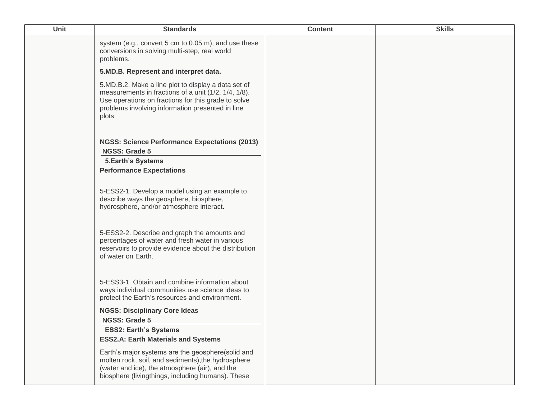| Unit | <b>Standards</b>                                                                                                                                                                                                                 | <b>Content</b> | <b>Skills</b> |
|------|----------------------------------------------------------------------------------------------------------------------------------------------------------------------------------------------------------------------------------|----------------|---------------|
|      | system (e.g., convert 5 cm to 0.05 m), and use these<br>conversions in solving multi-step, real world<br>problems.                                                                                                               |                |               |
|      | 5.MD.B. Represent and interpret data.                                                                                                                                                                                            |                |               |
|      | 5.MD.B.2. Make a line plot to display a data set of<br>measurements in fractions of a unit (1/2, 1/4, 1/8).<br>Use operations on fractions for this grade to solve<br>problems involving information presented in line<br>plots. |                |               |
|      | <b>NGSS: Science Performance Expectations (2013)</b><br><b>NGSS: Grade 5</b>                                                                                                                                                     |                |               |
|      | <b>5.Earth's Systems</b>                                                                                                                                                                                                         |                |               |
|      | <b>Performance Expectations</b>                                                                                                                                                                                                  |                |               |
|      | 5-ESS2-1. Develop a model using an example to<br>describe ways the geosphere, biosphere,<br>hydrosphere, and/or atmosphere interact.                                                                                             |                |               |
|      | 5-ESS2-2. Describe and graph the amounts and<br>percentages of water and fresh water in various<br>reservoirs to provide evidence about the distribution<br>of water on Earth.                                                   |                |               |
|      | 5-ESS3-1. Obtain and combine information about<br>ways individual communities use science ideas to<br>protect the Earth's resources and environment.                                                                             |                |               |
|      | <b>NGSS: Disciplinary Core Ideas</b><br><b>NGSS: Grade 5</b>                                                                                                                                                                     |                |               |
|      | <b>ESS2: Earth's Systems</b><br><b>ESS2.A: Earth Materials and Systems</b>                                                                                                                                                       |                |               |
|      | Earth's major systems are the geosphere(solid and<br>molten rock, soil, and sediments), the hydrosphere<br>(water and ice), the atmosphere (air), and the<br>biosphere (livingthings, including humans). These                   |                |               |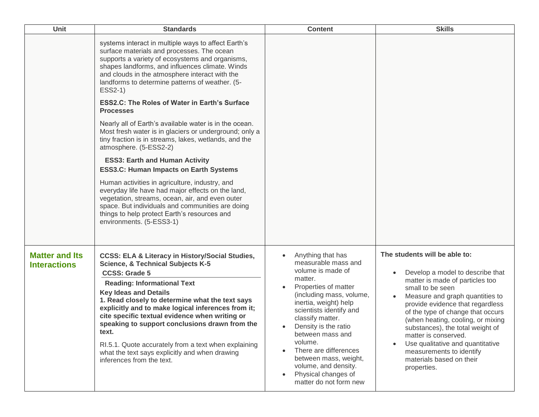| <b>Unit</b>                                  | <b>Standards</b>                                                                                                                                                                                                                                                                                                                                                                                                                                                                                                                                                                                                                                                                                                                                                                                                                                                                                                                                                                               | <b>Content</b>                                                                                                                                                                                                                                                                                                                                                                         | <b>Skills</b>                                                                                                                                                                                                                                                                                                                                                                                                                                    |
|----------------------------------------------|------------------------------------------------------------------------------------------------------------------------------------------------------------------------------------------------------------------------------------------------------------------------------------------------------------------------------------------------------------------------------------------------------------------------------------------------------------------------------------------------------------------------------------------------------------------------------------------------------------------------------------------------------------------------------------------------------------------------------------------------------------------------------------------------------------------------------------------------------------------------------------------------------------------------------------------------------------------------------------------------|----------------------------------------------------------------------------------------------------------------------------------------------------------------------------------------------------------------------------------------------------------------------------------------------------------------------------------------------------------------------------------------|--------------------------------------------------------------------------------------------------------------------------------------------------------------------------------------------------------------------------------------------------------------------------------------------------------------------------------------------------------------------------------------------------------------------------------------------------|
|                                              | systems interact in multiple ways to affect Earth's<br>surface materials and processes. The ocean<br>supports a variety of ecosystems and organisms,<br>shapes landforms, and influences climate. Winds<br>and clouds in the atmosphere interact with the<br>landforms to determine patterns of weather. (5-<br>ESS2-1)<br><b>ESS2.C: The Roles of Water in Earth's Surface</b><br><b>Processes</b><br>Nearly all of Earth's available water is in the ocean.<br>Most fresh water is in glaciers or underground; only a<br>tiny fraction is in streams, lakes, wetlands, and the<br>atmosphere. (5-ESS2-2)<br><b>ESS3: Earth and Human Activity</b><br><b>ESS3.C: Human Impacts on Earth Systems</b><br>Human activities in agriculture, industry, and<br>everyday life have had major effects on the land,<br>vegetation, streams, ocean, air, and even outer<br>space. But individuals and communities are doing<br>things to help protect Earth's resources and<br>environments. (5-ESS3-1) |                                                                                                                                                                                                                                                                                                                                                                                        |                                                                                                                                                                                                                                                                                                                                                                                                                                                  |
| <b>Matter and Its</b><br><b>Interactions</b> | <b>CCSS: ELA &amp; Literacy in History/Social Studies,</b><br><b>Science, &amp; Technical Subjects K-5</b><br><b>CCSS: Grade 5</b><br><b>Reading: Informational Text</b><br><b>Key Ideas and Details</b><br>1. Read closely to determine what the text says<br>explicitly and to make logical inferences from it;<br>cite specific textual evidence when writing or<br>speaking to support conclusions drawn from the<br>text.<br>RI.5.1. Quote accurately from a text when explaining<br>what the text says explicitly and when drawing<br>inferences from the text.                                                                                                                                                                                                                                                                                                                                                                                                                          | Anything that has<br>measurable mass and<br>volume is made of<br>matter.<br>Properties of matter<br>(including mass, volume,<br>inertia, weight) help<br>scientists identify and<br>classify matter.<br>Density is the ratio<br>between mass and<br>volume.<br>There are differences<br>between mass, weight,<br>volume, and density.<br>Physical changes of<br>matter do not form new | The students will be able to:<br>Develop a model to describe that<br>matter is made of particles too<br>small to be seen<br>Measure and graph quantities to<br>provide evidence that regardless<br>of the type of change that occurs<br>(when heating, cooling, or mixing<br>substances), the total weight of<br>matter is conserved.<br>Use qualitative and quantitative<br>measurements to identify<br>materials based on their<br>properties. |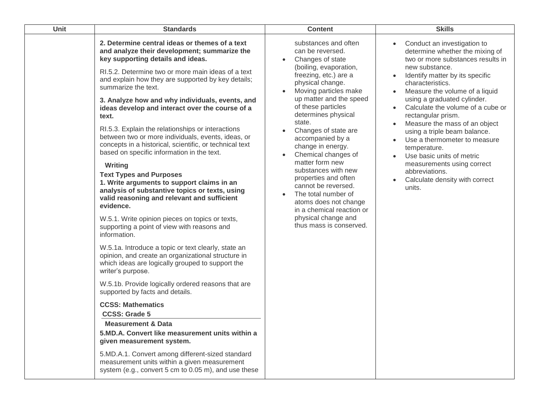| <b>Unit</b> | <b>Standards</b>                                                                                                                                                                                                                                                                                                                                                                                                                                                                                                                                                                                                                                                                                                                                                                                                                                                                                                                                                                                                                                                                                                                                                                                                                                                                                                                                                                                                                                                                                                                                     | <b>Content</b>                                                                                                                                                                                                                                                                                                                                                                                                                                                                                                                                                 | <b>Skills</b>                                                                                                                                                                                                                                                                                                                                                                                                                                                                                                                                                   |
|-------------|------------------------------------------------------------------------------------------------------------------------------------------------------------------------------------------------------------------------------------------------------------------------------------------------------------------------------------------------------------------------------------------------------------------------------------------------------------------------------------------------------------------------------------------------------------------------------------------------------------------------------------------------------------------------------------------------------------------------------------------------------------------------------------------------------------------------------------------------------------------------------------------------------------------------------------------------------------------------------------------------------------------------------------------------------------------------------------------------------------------------------------------------------------------------------------------------------------------------------------------------------------------------------------------------------------------------------------------------------------------------------------------------------------------------------------------------------------------------------------------------------------------------------------------------------|----------------------------------------------------------------------------------------------------------------------------------------------------------------------------------------------------------------------------------------------------------------------------------------------------------------------------------------------------------------------------------------------------------------------------------------------------------------------------------------------------------------------------------------------------------------|-----------------------------------------------------------------------------------------------------------------------------------------------------------------------------------------------------------------------------------------------------------------------------------------------------------------------------------------------------------------------------------------------------------------------------------------------------------------------------------------------------------------------------------------------------------------|
|             | 2. Determine central ideas or themes of a text<br>and analyze their development; summarize the<br>key supporting details and ideas.<br>RI.5.2. Determine two or more main ideas of a text<br>and explain how they are supported by key details;<br>summarize the text.<br>3. Analyze how and why individuals, events, and<br>ideas develop and interact over the course of a<br>text.<br>RI.5.3. Explain the relationships or interactions<br>between two or more individuals, events, ideas, or<br>concepts in a historical, scientific, or technical text<br>based on specific information in the text.<br>Writing<br><b>Text Types and Purposes</b><br>1. Write arguments to support claims in an<br>analysis of substantive topics or texts, using<br>valid reasoning and relevant and sufficient<br>evidence.<br>W.5.1. Write opinion pieces on topics or texts,<br>supporting a point of view with reasons and<br>information.<br>W.5.1a. Introduce a topic or text clearly, state an<br>opinion, and create an organizational structure in<br>which ideas are logically grouped to support the<br>writer's purpose.<br>W.5.1b. Provide logically ordered reasons that are<br>supported by facts and details.<br><b>CCSS: Mathematics</b><br><b>CCSS: Grade 5</b><br><b>Measurement &amp; Data</b><br>5.MD.A. Convert like measurement units within a<br>given measurement system.<br>5.MD.A.1. Convert among different-sized standard<br>measurement units within a given measurement<br>system (e.g., convert 5 cm to 0.05 m), and use these | substances and often<br>can be reversed.<br>Changes of state<br>(boiling, evaporation,<br>freezing, etc.) are a<br>physical change.<br>Moving particles make<br>up matter and the speed<br>of these particles<br>determines physical<br>state.<br>Changes of state are<br>accompanied by a<br>change in energy.<br>Chemical changes of<br>matter form new<br>substances with new<br>properties and often<br>cannot be reversed.<br>The total number of<br>atoms does not change<br>in a chemical reaction or<br>physical change and<br>thus mass is conserved. | Conduct an investigation to<br>$\bullet$<br>determine whether the mixing of<br>two or more substances results in<br>new substance.<br>Identify matter by its specific<br>characteristics.<br>Measure the volume of a liquid<br>using a graduated cylinder.<br>Calculate the volume of a cube or<br>rectangular prism.<br>Measure the mass of an object<br>using a triple beam balance.<br>Use a thermometer to measure<br>temperature.<br>Use basic units of metric<br>measurements using correct<br>abbreviations.<br>Calculate density with correct<br>units. |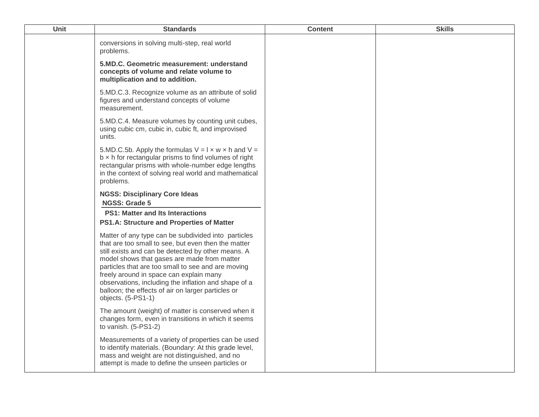| Unit | <b>Standards</b>                                                                                                                                                                                                                                                                                                                                                                                                                                     | <b>Content</b> | <b>Skills</b> |
|------|------------------------------------------------------------------------------------------------------------------------------------------------------------------------------------------------------------------------------------------------------------------------------------------------------------------------------------------------------------------------------------------------------------------------------------------------------|----------------|---------------|
|      | conversions in solving multi-step, real world<br>problems.                                                                                                                                                                                                                                                                                                                                                                                           |                |               |
|      | 5.MD.C. Geometric measurement: understand<br>concepts of volume and relate volume to<br>multiplication and to addition.                                                                                                                                                                                                                                                                                                                              |                |               |
|      | 5.MD.C.3. Recognize volume as an attribute of solid<br>figures and understand concepts of volume<br>measurement.                                                                                                                                                                                                                                                                                                                                     |                |               |
|      | 5.MD.C.4. Measure volumes by counting unit cubes,<br>using cubic cm, cubic in, cubic ft, and improvised<br>units.                                                                                                                                                                                                                                                                                                                                    |                |               |
|      | 5.MD.C.5b. Apply the formulas $V = I \times w \times h$ and $V =$<br>$b \times h$ for rectangular prisms to find volumes of right<br>rectangular prisms with whole-number edge lengths<br>in the context of solving real world and mathematical<br>problems.                                                                                                                                                                                         |                |               |
|      | <b>NGSS: Disciplinary Core Ideas</b><br>NGSS: Grade 5                                                                                                                                                                                                                                                                                                                                                                                                |                |               |
|      | <b>PS1: Matter and Its Interactions</b>                                                                                                                                                                                                                                                                                                                                                                                                              |                |               |
|      | PS1.A: Structure and Properties of Matter                                                                                                                                                                                                                                                                                                                                                                                                            |                |               |
|      | Matter of any type can be subdivided into particles<br>that are too small to see, but even then the matter<br>still exists and can be detected by other means. A<br>model shows that gases are made from matter<br>particles that are too small to see and are moving<br>freely around in space can explain many<br>observations, including the inflation and shape of a<br>balloon; the effects of air on larger particles or<br>objects. (5-PS1-1) |                |               |
|      | The amount (weight) of matter is conserved when it<br>changes form, even in transitions in which it seems<br>to vanish. (5-PS1-2)                                                                                                                                                                                                                                                                                                                    |                |               |
|      | Measurements of a variety of properties can be used<br>to identify materials. (Boundary: At this grade level,<br>mass and weight are not distinguished, and no<br>attempt is made to define the unseen particles or                                                                                                                                                                                                                                  |                |               |
|      |                                                                                                                                                                                                                                                                                                                                                                                                                                                      |                |               |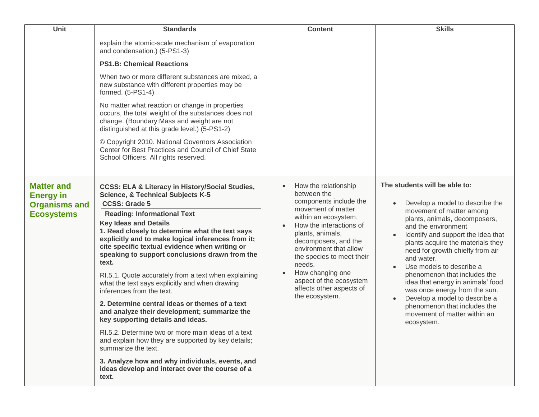| <b>Unit</b>                                                                        | <b>Standards</b>                                                                                                                                                                                                                                                                                                                                                                                                                                                                                                                                                                                                                                                                                                                                                                                                                                                                                                                                               | <b>Content</b>                                                                                                                                                                                                                                                                                                                                   | <b>Skills</b>                                                                                                                                                                                                                                                                                                                                                                                                                                                                                                                                                             |
|------------------------------------------------------------------------------------|----------------------------------------------------------------------------------------------------------------------------------------------------------------------------------------------------------------------------------------------------------------------------------------------------------------------------------------------------------------------------------------------------------------------------------------------------------------------------------------------------------------------------------------------------------------------------------------------------------------------------------------------------------------------------------------------------------------------------------------------------------------------------------------------------------------------------------------------------------------------------------------------------------------------------------------------------------------|--------------------------------------------------------------------------------------------------------------------------------------------------------------------------------------------------------------------------------------------------------------------------------------------------------------------------------------------------|---------------------------------------------------------------------------------------------------------------------------------------------------------------------------------------------------------------------------------------------------------------------------------------------------------------------------------------------------------------------------------------------------------------------------------------------------------------------------------------------------------------------------------------------------------------------------|
|                                                                                    | explain the atomic-scale mechanism of evaporation<br>and condensation.) (5-PS1-3)                                                                                                                                                                                                                                                                                                                                                                                                                                                                                                                                                                                                                                                                                                                                                                                                                                                                              |                                                                                                                                                                                                                                                                                                                                                  |                                                                                                                                                                                                                                                                                                                                                                                                                                                                                                                                                                           |
|                                                                                    | <b>PS1.B: Chemical Reactions</b>                                                                                                                                                                                                                                                                                                                                                                                                                                                                                                                                                                                                                                                                                                                                                                                                                                                                                                                               |                                                                                                                                                                                                                                                                                                                                                  |                                                                                                                                                                                                                                                                                                                                                                                                                                                                                                                                                                           |
|                                                                                    | When two or more different substances are mixed, a<br>new substance with different properties may be<br>formed. (5-PS1-4)                                                                                                                                                                                                                                                                                                                                                                                                                                                                                                                                                                                                                                                                                                                                                                                                                                      |                                                                                                                                                                                                                                                                                                                                                  |                                                                                                                                                                                                                                                                                                                                                                                                                                                                                                                                                                           |
|                                                                                    | No matter what reaction or change in properties<br>occurs, the total weight of the substances does not<br>change. (Boundary: Mass and weight are not<br>distinguished at this grade level.) (5-PS1-2)                                                                                                                                                                                                                                                                                                                                                                                                                                                                                                                                                                                                                                                                                                                                                          |                                                                                                                                                                                                                                                                                                                                                  |                                                                                                                                                                                                                                                                                                                                                                                                                                                                                                                                                                           |
|                                                                                    | © Copyright 2010. National Governors Association<br>Center for Best Practices and Council of Chief State<br>School Officers. All rights reserved.                                                                                                                                                                                                                                                                                                                                                                                                                                                                                                                                                                                                                                                                                                                                                                                                              |                                                                                                                                                                                                                                                                                                                                                  |                                                                                                                                                                                                                                                                                                                                                                                                                                                                                                                                                                           |
| <b>Matter and</b><br><b>Energy in</b><br><b>Organisms and</b><br><b>Ecosystems</b> | <b>CCSS: ELA &amp; Literacy in History/Social Studies,</b><br><b>Science, &amp; Technical Subjects K-5</b><br><b>CCSS: Grade 5</b><br><b>Reading: Informational Text</b><br><b>Key Ideas and Details</b><br>1. Read closely to determine what the text says<br>explicitly and to make logical inferences from it;<br>cite specific textual evidence when writing or<br>speaking to support conclusions drawn from the<br>text.<br>RI.5.1. Quote accurately from a text when explaining<br>what the text says explicitly and when drawing<br>inferences from the text.<br>2. Determine central ideas or themes of a text<br>and analyze their development; summarize the<br>key supporting details and ideas.<br>RI.5.2. Determine two or more main ideas of a text<br>and explain how they are supported by key details;<br>summarize the text.<br>3. Analyze how and why individuals, events, and<br>ideas develop and interact over the course of a<br>text. | How the relationship<br>between the<br>components include the<br>movement of matter<br>within an ecosystem.<br>How the interactions of<br>plants, animals,<br>decomposers, and the<br>environment that allow<br>the species to meet their<br>needs.<br>How changing one<br>aspect of the ecosystem<br>affects other aspects of<br>the ecosystem. | The students will be able to:<br>Develop a model to describe the<br>$\bullet$<br>movement of matter among<br>plants, animals, decomposers,<br>and the environment<br>Identify and support the idea that<br>plants acquire the materials they<br>need for growth chiefly from air<br>and water.<br>Use models to describe a<br>$\bullet$<br>phenomenon that includes the<br>idea that energy in animals' food<br>was once energy from the sun.<br>Develop a model to describe a<br>$\bullet$<br>phenomenon that includes the<br>movement of matter within an<br>ecosystem. |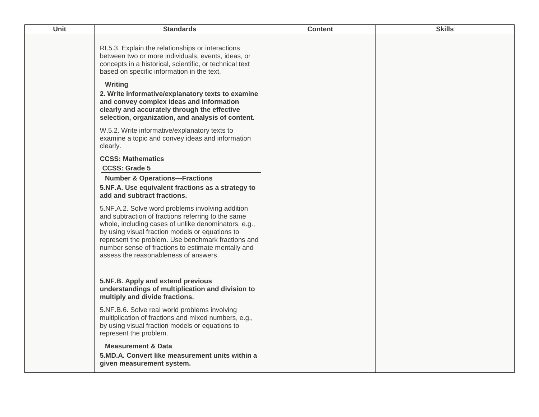| Unit | <b>Standards</b>                                                                                                                                                                                                                                                                                                                                                                                                                                                                                                                                           | <b>Content</b> | <b>Skills</b> |
|------|------------------------------------------------------------------------------------------------------------------------------------------------------------------------------------------------------------------------------------------------------------------------------------------------------------------------------------------------------------------------------------------------------------------------------------------------------------------------------------------------------------------------------------------------------------|----------------|---------------|
|      | RI.5.3. Explain the relationships or interactions<br>between two or more individuals, events, ideas, or<br>concepts in a historical, scientific, or technical text<br>based on specific information in the text.<br>Writing<br>2. Write informative/explanatory texts to examine<br>and convey complex ideas and information<br>clearly and accurately through the effective<br>selection, organization, and analysis of content.                                                                                                                          |                |               |
|      | W.5.2. Write informative/explanatory texts to<br>examine a topic and convey ideas and information<br>clearly.                                                                                                                                                                                                                                                                                                                                                                                                                                              |                |               |
|      | <b>CCSS: Mathematics</b><br><b>CCSS: Grade 5</b><br><b>Number &amp; Operations-Fractions</b><br>5.NF.A. Use equivalent fractions as a strategy to<br>add and subtract fractions.<br>5.NF.A.2. Solve word problems involving addition<br>and subtraction of fractions referring to the same<br>whole, including cases of unlike denominators, e.g.,<br>by using visual fraction models or equations to<br>represent the problem. Use benchmark fractions and<br>number sense of fractions to estimate mentally and<br>assess the reasonableness of answers. |                |               |
|      | 5.NF.B. Apply and extend previous<br>understandings of multiplication and division to<br>multiply and divide fractions.                                                                                                                                                                                                                                                                                                                                                                                                                                    |                |               |
|      | 5.NF.B.6. Solve real world problems involving<br>multiplication of fractions and mixed numbers, e.g.,<br>by using visual fraction models or equations to<br>represent the problem.                                                                                                                                                                                                                                                                                                                                                                         |                |               |
|      | <b>Measurement &amp; Data</b><br>5.MD.A. Convert like measurement units within a<br>given measurement system.                                                                                                                                                                                                                                                                                                                                                                                                                                              |                |               |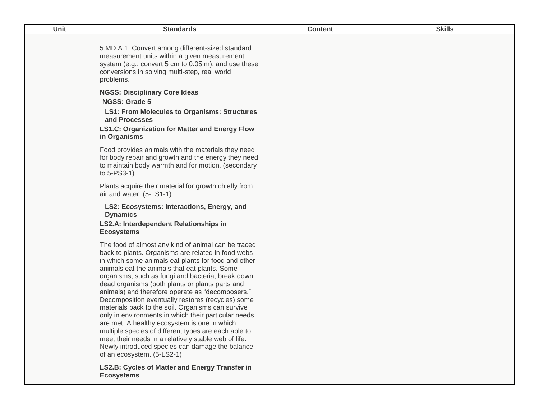| Unit | <b>Standards</b>                                                                                                                                                                                                                                                                                                                                                                                                                                                                                                                                                                                                                                                                                                                                                                                 | <b>Content</b> | <b>Skills</b> |
|------|--------------------------------------------------------------------------------------------------------------------------------------------------------------------------------------------------------------------------------------------------------------------------------------------------------------------------------------------------------------------------------------------------------------------------------------------------------------------------------------------------------------------------------------------------------------------------------------------------------------------------------------------------------------------------------------------------------------------------------------------------------------------------------------------------|----------------|---------------|
|      | 5.MD.A.1. Convert among different-sized standard<br>measurement units within a given measurement<br>system (e.g., convert 5 cm to 0.05 m), and use these<br>conversions in solving multi-step, real world<br>problems.                                                                                                                                                                                                                                                                                                                                                                                                                                                                                                                                                                           |                |               |
|      | <b>NGSS: Disciplinary Core Ideas</b><br><b>NGSS: Grade 5</b>                                                                                                                                                                                                                                                                                                                                                                                                                                                                                                                                                                                                                                                                                                                                     |                |               |
|      | <b>LS1: From Molecules to Organisms: Structures</b><br>and Processes<br><b>LS1.C: Organization for Matter and Energy Flow</b>                                                                                                                                                                                                                                                                                                                                                                                                                                                                                                                                                                                                                                                                    |                |               |
|      | in Organisms                                                                                                                                                                                                                                                                                                                                                                                                                                                                                                                                                                                                                                                                                                                                                                                     |                |               |
|      | Food provides animals with the materials they need<br>for body repair and growth and the energy they need<br>to maintain body warmth and for motion. (secondary<br>to $5$ -PS $3$ -1)                                                                                                                                                                                                                                                                                                                                                                                                                                                                                                                                                                                                            |                |               |
|      | Plants acquire their material for growth chiefly from<br>air and water. (5-LS1-1)                                                                                                                                                                                                                                                                                                                                                                                                                                                                                                                                                                                                                                                                                                                |                |               |
|      | LS2: Ecosystems: Interactions, Energy, and<br><b>Dynamics</b>                                                                                                                                                                                                                                                                                                                                                                                                                                                                                                                                                                                                                                                                                                                                    |                |               |
|      | <b>LS2.A: Interdependent Relationships in</b><br><b>Ecosystems</b>                                                                                                                                                                                                                                                                                                                                                                                                                                                                                                                                                                                                                                                                                                                               |                |               |
|      | The food of almost any kind of animal can be traced<br>back to plants. Organisms are related in food webs<br>in which some animals eat plants for food and other<br>animals eat the animals that eat plants. Some<br>organisms, such as fungi and bacteria, break down<br>dead organisms (both plants or plants parts and<br>animals) and therefore operate as "decomposers."<br>Decomposition eventually restores (recycles) some<br>materials back to the soil. Organisms can survive<br>only in environments in which their particular needs<br>are met. A healthy ecosystem is one in which<br>multiple species of different types are each able to<br>meet their needs in a relatively stable web of life.<br>Newly introduced species can damage the balance<br>of an ecosystem. (5-LS2-1) |                |               |
|      | LS2.B: Cycles of Matter and Energy Transfer in<br><b>Ecosystems</b>                                                                                                                                                                                                                                                                                                                                                                                                                                                                                                                                                                                                                                                                                                                              |                |               |